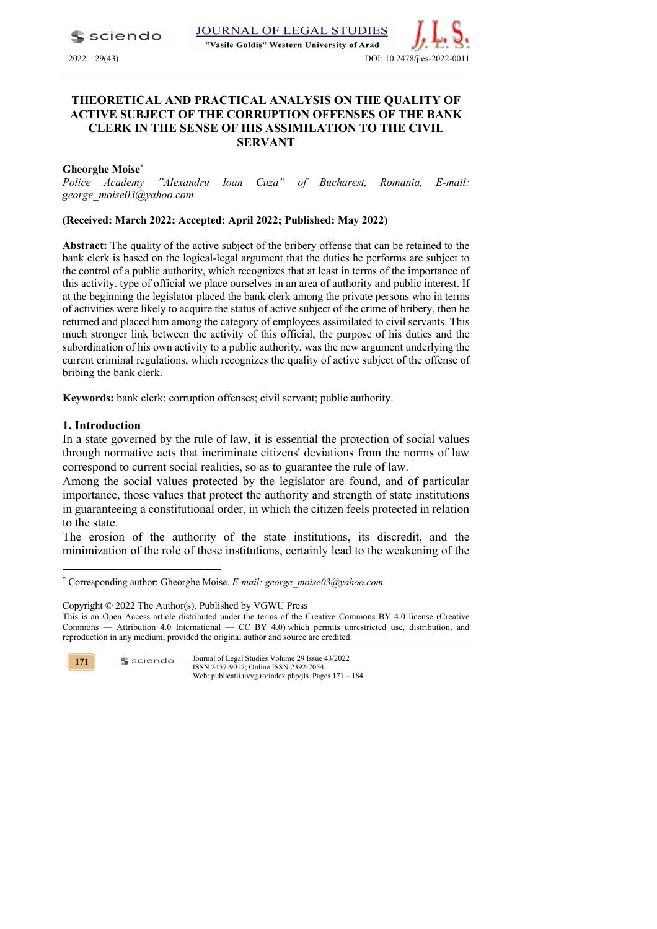$\blacktriangle$  sciendo

JOURNAL OF LEGAL STUDIES

"Vasile Goldis" Western University of Arad



# **THEORETICAL AND PRACTICAL ANALYSIS ON THE QUALITY OF ACTIVE SUBJECT OF THE CORRUPTION OFFENSES OF THE BANK CLERK IN THE SENSE OF HIS ASSIMILATION TO THE CIVIL SERVANT**

**Gheorghe Moise\***

*Police Academy "Alexandru Ioan Cuza" of Bucharest, Romania, E-mail: george\_moise03@yahoo.com*

## **(Received: March 2022; Accepted: April 2022; Published: May 2022)**

**Abstract:** The quality of the active subject of the bribery offense that can be retained to the bank clerk is based on the logical-legal argument that the duties he performs are subject to the control of a public authority, which recognizes that at least in terms of the importance of this activity. type of official we place ourselves in an area of authority and public interest. If at the beginning the legislator placed the bank clerk among the private persons who in terms of activities were likely to acquire the status of active subject of the crime of bribery, then he returned and placed him among the category of employees assimilated to civil servants. This much stronger link between the activity of this official, the purpose of his duties and the subordination of his own activity to a public authority, was the new argument underlying the current criminal regulations, which recognizes the quality of active subject of the offense of bribing the bank clerk.

**Keywords:** bank clerk; corruption offenses; civil servant; public authority.

## **1. Introduction**

In a state governed by the rule of law, it is essential the protection of social values through normative acts that incriminate citizens' deviations from the norms of law correspond to current social realities, so as to guarantee the rule of law.

Among the social values protected by the legislator are found, and of particular importance, those values that protect the authority and strength of state institutions in guaranteeing a constitutional order, in which the citizen feels protected in relation to the state.

The erosion of the authority of the state institutions, its discredit, and the minimization of the role of these institutions, certainly lead to the weakening of the

**171**

<sup>\*</sup> Corresponding author: Gheorghe Moise. *E-mail: george\_moise03@yahoo.com*

Copyright © 2022 The Author(s). Published by VGWU Press

This is an Open Access article distributed under the terms of the Creative Commons BY 4.0 license (Creative Commons — Attribution 4.0 International — CC BY 4.0) which permits unrestricted use, distribution, and reproduction in any medium, provided the original author and source are credited.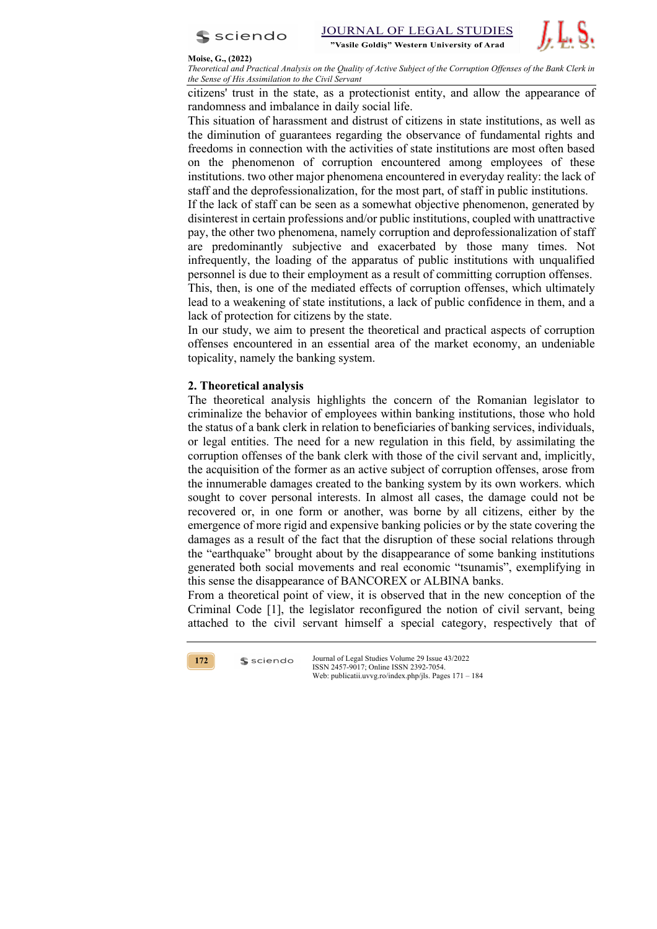

**JOURNAL OF LEGAL STUDIES** "Vasile Goldis" Western University of Arad



#### **Moise, G., (2022)**

*Theoretical and Practical Analysis on the Quality of Active Subject of the Corruption Offenses of the Bank Clerk in the Sense of His Assimilation to the Civil Servant* 

citizens' trust in the state, as a protectionist entity, and allow the appearance of randomness and imbalance in daily social life.

This situation of harassment and distrust of citizens in state institutions, as well as the diminution of guarantees regarding the observance of fundamental rights and freedoms in connection with the activities of state institutions are most often based on the phenomenon of corruption encountered among employees of these institutions. two other major phenomena encountered in everyday reality: the lack of staff and the deprofessionalization, for the most part, of staff in public institutions.

If the lack of staff can be seen as a somewhat objective phenomenon, generated by disinterest in certain professions and/or public institutions, coupled with unattractive pay, the other two phenomena, namely corruption and deprofessionalization of staff are predominantly subjective and exacerbated by those many times. Not infrequently, the loading of the apparatus of public institutions with unqualified personnel is due to their employment as a result of committing corruption offenses.

This, then, is one of the mediated effects of corruption offenses, which ultimately lead to a weakening of state institutions, a lack of public confidence in them, and a lack of protection for citizens by the state.

In our study, we aim to present the theoretical and practical aspects of corruption offenses encountered in an essential area of the market economy, an undeniable topicality, namely the banking system.

# **2. Theoretical analysis**

The theoretical analysis highlights the concern of the Romanian legislator to criminalize the behavior of employees within banking institutions, those who hold the status of a bank clerk in relation to beneficiaries of banking services, individuals, or legal entities. The need for a new regulation in this field, by assimilating the corruption offenses of the bank clerk with those of the civil servant and, implicitly, the acquisition of the former as an active subject of corruption offenses, arose from the innumerable damages created to the banking system by its own workers. which sought to cover personal interests. In almost all cases, the damage could not be recovered or, in one form or another, was borne by all citizens, either by the emergence of more rigid and expensive banking policies or by the state covering the damages as a result of the fact that the disruption of these social relations through the "earthquake" brought about by the disappearance of some banking institutions generated both social movements and real economic "tsunamis", exemplifying in this sense the disappearance of BANCOREX or ALBINA banks.

From a theoretical point of view, it is observed that in the new conception of the Criminal Code [1], the legislator reconfigured the notion of civil servant, being attached to the civil servant himself a special category, respectively that of



 $s$  sciendo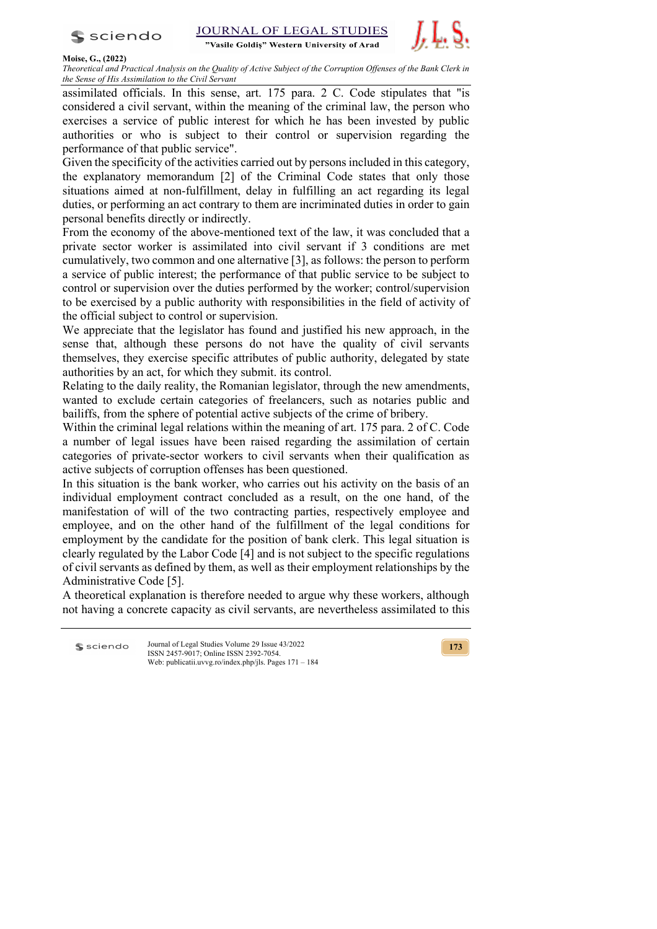

"Vasile Goldis" Western University of Arad



### **Moise, G., (2022)**

*Theoretical and Practical Analysis on the Quality of Active Subject of the Corruption Offenses of the Bank Clerk in the Sense of His Assimilation to the Civil Servant* 

assimilated officials. In this sense, art. 175 para. 2 C. Code stipulates that "is considered a civil servant, within the meaning of the criminal law, the person who exercises a service of public interest for which he has been invested by public authorities or who is subject to their control or supervision regarding the performance of that public service".

Given the specificity of the activities carried out by persons included in this category, the explanatory memorandum [2] of the Criminal Code states that only those situations aimed at non-fulfillment, delay in fulfilling an act regarding its legal duties, or performing an act contrary to them are incriminated duties in order to gain personal benefits directly or indirectly.

From the economy of the above-mentioned text of the law, it was concluded that a private sector worker is assimilated into civil servant if 3 conditions are met cumulatively, two common and one alternative [3], as follows: the person to perform a service of public interest; the performance of that public service to be subject to control or supervision over the duties performed by the worker; control/supervision to be exercised by a public authority with responsibilities in the field of activity of the official subject to control or supervision.

We appreciate that the legislator has found and justified his new approach, in the sense that, although these persons do not have the quality of civil servants themselves, they exercise specific attributes of public authority, delegated by state authorities by an act, for which they submit. its control.

Relating to the daily reality, the Romanian legislator, through the new amendments, wanted to exclude certain categories of freelancers, such as notaries public and bailiffs, from the sphere of potential active subjects of the crime of bribery.

Within the criminal legal relations within the meaning of art. 175 para. 2 of C. Code a number of legal issues have been raised regarding the assimilation of certain categories of private-sector workers to civil servants when their qualification as active subjects of corruption offenses has been questioned.

In this situation is the bank worker, who carries out his activity on the basis of an individual employment contract concluded as a result, on the one hand, of the manifestation of will of the two contracting parties, respectively employee and employee, and on the other hand of the fulfillment of the legal conditions for employment by the candidate for the position of bank clerk. This legal situation is clearly regulated by the Labor Code [4] and is not subject to the specific regulations of civil servants as defined by them, as well as their employment relationships by the Administrative Code [5].

A theoretical explanation is therefore needed to argue why these workers, although not having a concrete capacity as civil servants, are nevertheless assimilated to this

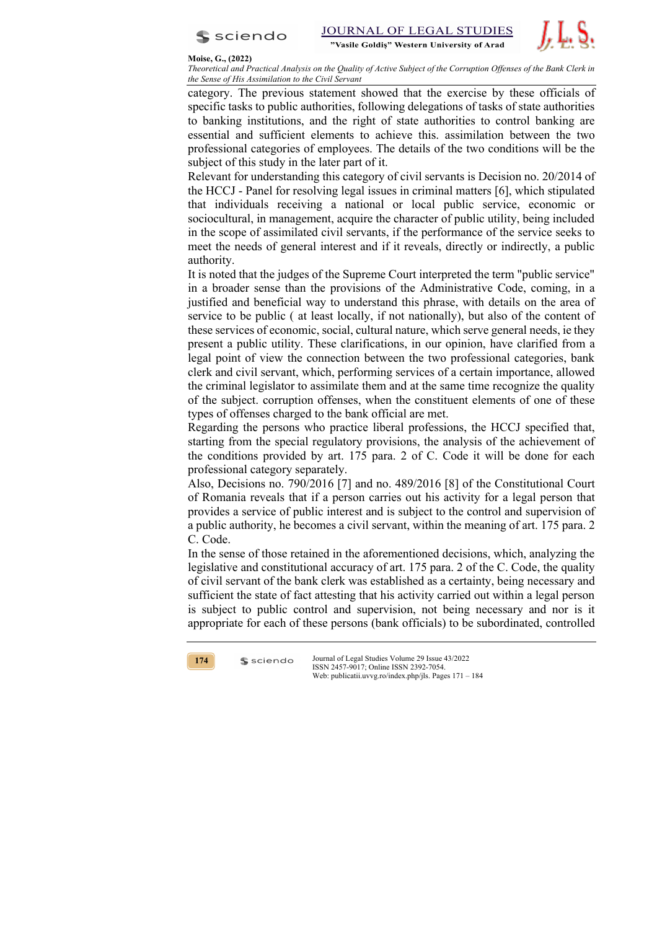



*Theoretical and Practical Analysis on the Quality of Active Subject of the Corruption Offenses of the Bank Clerk in the Sense of His Assimilation to the Civil Servant* 

category. The previous statement showed that the exercise by these officials of specific tasks to public authorities, following delegations of tasks of state authorities to banking institutions, and the right of state authorities to control banking are essential and sufficient elements to achieve this. assimilation between the two professional categories of employees. The details of the two conditions will be the subject of this study in the later part of it.

Relevant for understanding this category of civil servants is Decision no. 20/2014 of the HCCJ - Panel for resolving legal issues in criminal matters [6], which stipulated that individuals receiving a national or local public service, economic or sociocultural, in management, acquire the character of public utility, being included in the scope of assimilated civil servants, if the performance of the service seeks to meet the needs of general interest and if it reveals, directly or indirectly, a public authority.

It is noted that the judges of the Supreme Court interpreted the term "public service" in a broader sense than the provisions of the Administrative Code, coming, in a justified and beneficial way to understand this phrase, with details on the area of service to be public ( at least locally, if not nationally), but also of the content of these services of economic, social, cultural nature, which serve general needs, ie they present a public utility. These clarifications, in our opinion, have clarified from a legal point of view the connection between the two professional categories, bank clerk and civil servant, which, performing services of a certain importance, allowed the criminal legislator to assimilate them and at the same time recognize the quality of the subject. corruption offenses, when the constituent elements of one of these types of offenses charged to the bank official are met.

Regarding the persons who practice liberal professions, the HCCJ specified that, starting from the special regulatory provisions, the analysis of the achievement of the conditions provided by art. 175 para. 2 of C. Code it will be done for each professional category separately.

Also, Decisions no. 790/2016 [7] and no. 489/2016 [8] of the Constitutional Court of Romania reveals that if a person carries out his activity for a legal person that provides a service of public interest and is subject to the control and supervision of a public authority, he becomes a civil servant, within the meaning of art. 175 para. 2 C. Code.

In the sense of those retained in the aforementioned decisions, which, analyzing the legislative and constitutional accuracy of art. 175 para. 2 of the C. Code, the quality of civil servant of the bank clerk was established as a certainty, being necessary and sufficient the state of fact attesting that his activity carried out within a legal person is subject to public control and supervision, not being necessary and nor is it appropriate for each of these persons (bank officials) to be subordinated, controlled



 $s$  sciendo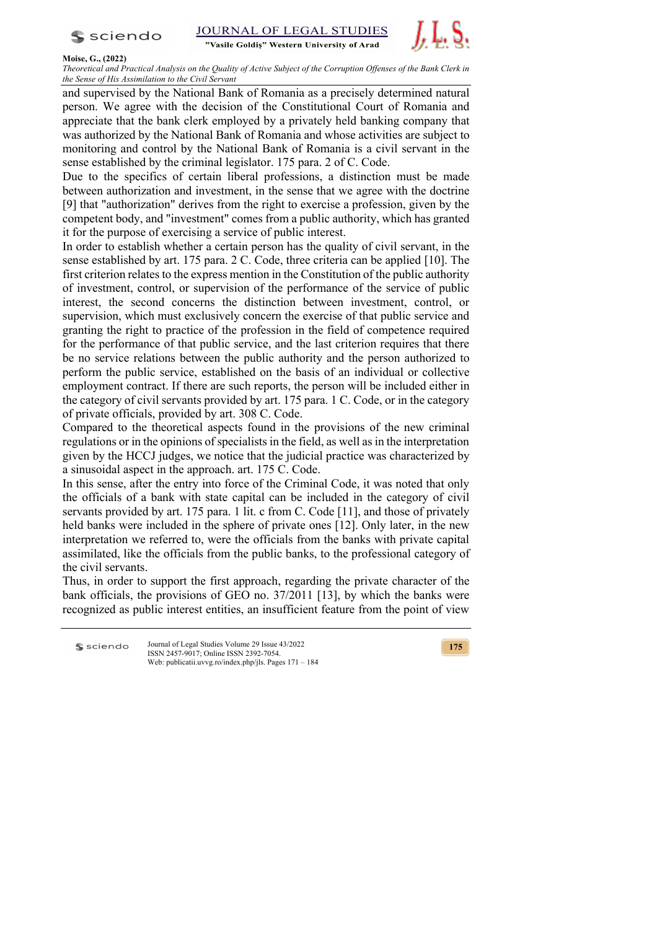

"Vasile Goldis" Western University of Arad



### **Moise, G., (2022)**

*Theoretical and Practical Analysis on the Quality of Active Subject of the Corruption Offenses of the Bank Clerk in the Sense of His Assimilation to the Civil Servant* 

and supervised by the National Bank of Romania as a precisely determined natural person. We agree with the decision of the Constitutional Court of Romania and appreciate that the bank clerk employed by a privately held banking company that was authorized by the National Bank of Romania and whose activities are subject to monitoring and control by the National Bank of Romania is a civil servant in the sense established by the criminal legislator. 175 para. 2 of C. Code.

Due to the specifics of certain liberal professions, a distinction must be made between authorization and investment, in the sense that we agree with the doctrine [9] that "authorization" derives from the right to exercise a profession, given by the competent body, and "investment" comes from a public authority, which has granted it for the purpose of exercising a service of public interest.

In order to establish whether a certain person has the quality of civil servant, in the sense established by art. 175 para. 2 C. Code, three criteria can be applied [10]. The first criterion relates to the express mention in the Constitution of the public authority of investment, control, or supervision of the performance of the service of public interest, the second concerns the distinction between investment, control, or supervision, which must exclusively concern the exercise of that public service and granting the right to practice of the profession in the field of competence required for the performance of that public service, and the last criterion requires that there be no service relations between the public authority and the person authorized to perform the public service, established on the basis of an individual or collective employment contract. If there are such reports, the person will be included either in the category of civil servants provided by art. 175 para. 1 C. Code, or in the category of private officials, provided by art. 308 C. Code.

Compared to the theoretical aspects found in the provisions of the new criminal regulations or in the opinions of specialists in the field, as well as in the interpretation given by the HCCJ judges, we notice that the judicial practice was characterized by a sinusoidal aspect in the approach. art. 175 C. Code.

In this sense, after the entry into force of the Criminal Code, it was noted that only the officials of a bank with state capital can be included in the category of civil servants provided by art. 175 para. 1 lit. c from C. Code [11], and those of privately held banks were included in the sphere of private ones [12]. Only later, in the new interpretation we referred to, were the officials from the banks with private capital assimilated, like the officials from the public banks, to the professional category of the civil servants.

Thus, in order to support the first approach, regarding the private character of the bank officials, the provisions of GEO no. 37/2011 [13], by which the banks were recognized as public interest entities, an insufficient feature from the point of view

Journal of Legal Studies Volume 29 Issue 43/2022 **S** sciendo ISSN 2457-9017; Online ISSN 2392-7054. Web: publicatii.uvvg.ro/index.php/jls. Pages 171 – 184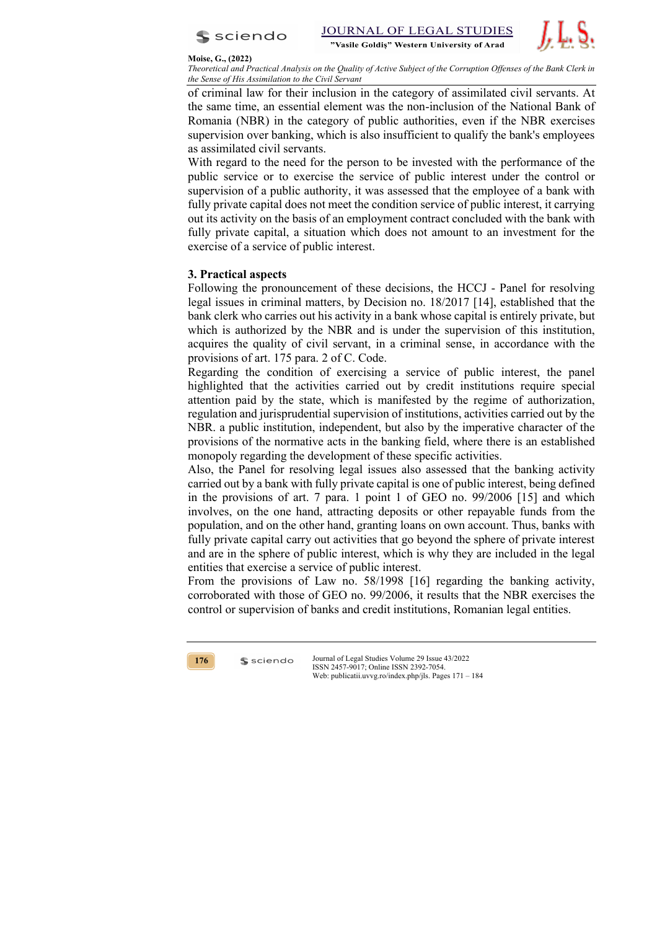

**STUDIES JOURNAL OF LEGAL** "Vasile Goldis" Western University of Arad



### **Moise, G., (2022)**

*Theoretical and Practical Analysis on the Quality of Active Subject of the Corruption Offenses of the Bank Clerk in the Sense of His Assimilation to the Civil Servant* 

of criminal law for their inclusion in the category of assimilated civil servants. At the same time, an essential element was the non-inclusion of the National Bank of Romania (NBR) in the category of public authorities, even if the NBR exercises supervision over banking, which is also insufficient to qualify the bank's employees as assimilated civil servants.

With regard to the need for the person to be invested with the performance of the public service or to exercise the service of public interest under the control or supervision of a public authority, it was assessed that the employee of a bank with fully private capital does not meet the condition service of public interest, it carrying out its activity on the basis of an employment contract concluded with the bank with fully private capital, a situation which does not amount to an investment for the exercise of a service of public interest.

# **3. Practical aspects**

Following the pronouncement of these decisions, the HCCJ - Panel for resolving legal issues in criminal matters, by Decision no. 18/2017 [14], established that the bank clerk who carries out his activity in a bank whose capital is entirely private, but which is authorized by the NBR and is under the supervision of this institution, acquires the quality of civil servant, in a criminal sense, in accordance with the provisions of art. 175 para. 2 of C. Code.

Regarding the condition of exercising a service of public interest, the panel highlighted that the activities carried out by credit institutions require special attention paid by the state, which is manifested by the regime of authorization, regulation and jurisprudential supervision of institutions, activities carried out by the NBR. a public institution, independent, but also by the imperative character of the provisions of the normative acts in the banking field, where there is an established monopoly regarding the development of these specific activities.

Also, the Panel for resolving legal issues also assessed that the banking activity carried out by a bank with fully private capital is one of public interest, being defined in the provisions of art. 7 para. 1 point 1 of GEO no. 99/2006 [15] and which involves, on the one hand, attracting deposits or other repayable funds from the population, and on the other hand, granting loans on own account. Thus, banks with fully private capital carry out activities that go beyond the sphere of private interest and are in the sphere of public interest, which is why they are included in the legal entities that exercise a service of public interest.

From the provisions of Law no. 58/1998 [16] regarding the banking activity, corroborated with those of GEO no. 99/2006, it results that the NBR exercises the control or supervision of banks and credit institutions, Romanian legal entities.



 $s$  sciendo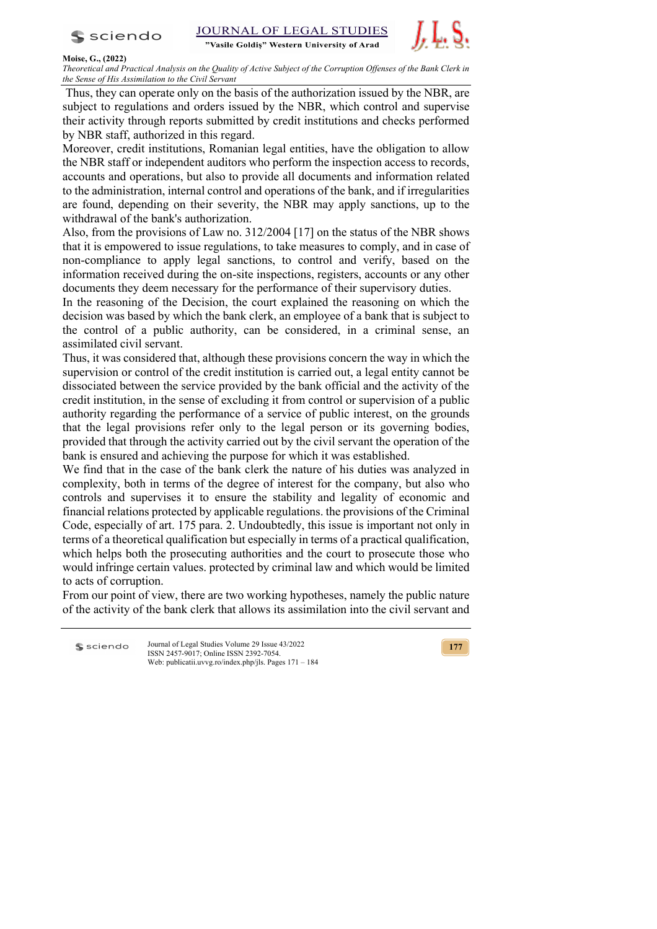

**STUDIES JOURNAL OF LEGAL** 

"Vasile Goldis" Western University of Arad



## **Moise, G., (2022)**

*Theoretical and Practical Analysis on the Quality of Active Subject of the Corruption Offenses of the Bank Clerk in the Sense of His Assimilation to the Civil Servant* 

Thus, they can operate only on the basis of the authorization issued by the NBR, are subject to regulations and orders issued by the NBR, which control and supervise their activity through reports submitted by credit institutions and checks performed by NBR staff, authorized in this regard.

Moreover, credit institutions, Romanian legal entities, have the obligation to allow the NBR staff or independent auditors who perform the inspection access to records, accounts and operations, but also to provide all documents and information related to the administration, internal control and operations of the bank, and if irregularities are found, depending on their severity, the NBR may apply sanctions, up to the withdrawal of the bank's authorization.

Also, from the provisions of Law no. 312/2004 [17] on the status of the NBR shows that it is empowered to issue regulations, to take measures to comply, and in case of non-compliance to apply legal sanctions, to control and verify, based on the information received during the on-site inspections, registers, accounts or any other documents they deem necessary for the performance of their supervisory duties.

In the reasoning of the Decision, the court explained the reasoning on which the decision was based by which the bank clerk, an employee of a bank that is subject to the control of a public authority, can be considered, in a criminal sense, an assimilated civil servant.

Thus, it was considered that, although these provisions concern the way in which the supervision or control of the credit institution is carried out, a legal entity cannot be dissociated between the service provided by the bank official and the activity of the credit institution, in the sense of excluding it from control or supervision of a public authority regarding the performance of a service of public interest, on the grounds that the legal provisions refer only to the legal person or its governing bodies, provided that through the activity carried out by the civil servant the operation of the bank is ensured and achieving the purpose for which it was established.

We find that in the case of the bank clerk the nature of his duties was analyzed in complexity, both in terms of the degree of interest for the company, but also who controls and supervises it to ensure the stability and legality of economic and financial relations protected by applicable regulations. the provisions of the Criminal Code, especially of art. 175 para. 2. Undoubtedly, this issue is important not only in terms of a theoretical qualification but especially in terms of a practical qualification, which helps both the prosecuting authorities and the court to prosecute those who would infringe certain values. protected by criminal law and which would be limited to acts of corruption.

From our point of view, there are two working hypotheses, namely the public nature of the activity of the bank clerk that allows its assimilation into the civil servant and

Journal of Legal Studies Volume 29 Issue 43/2022 **S** sciendo ISSN 2457-9017; Online ISSN 2392-7054. Web: publicatii.uvvg.ro/index.php/jls. Pages 171 – 184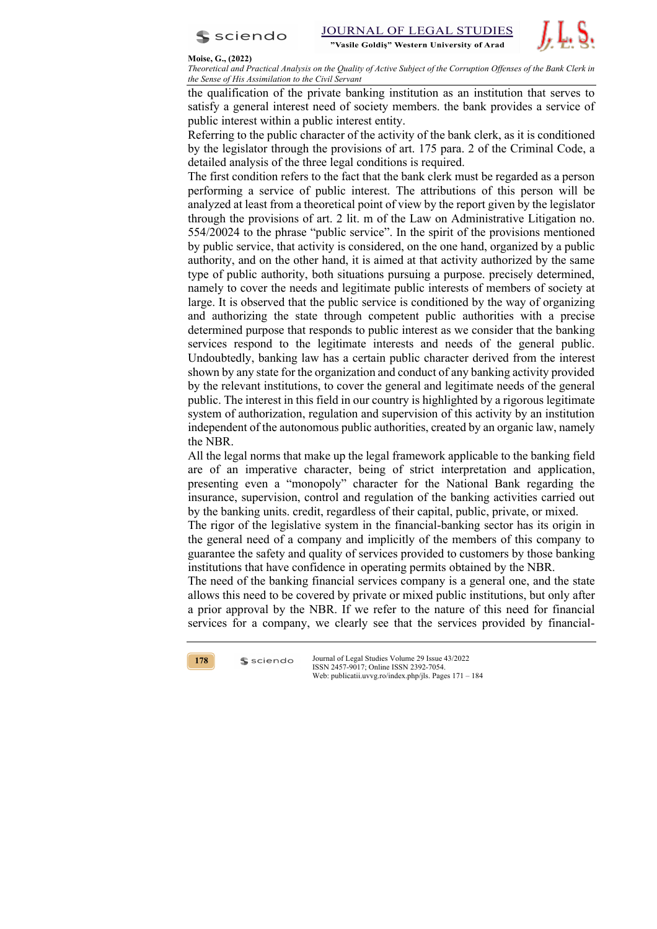



*Theoretical and Practical Analysis on the Quality of Active Subject of the Corruption Offenses of the Bank Clerk in the Sense of His Assimilation to the Civil Servant* 

the qualification of the private banking institution as an institution that serves to satisfy a general interest need of society members. the bank provides a service of public interest within a public interest entity.

Referring to the public character of the activity of the bank clerk, as it is conditioned by the legislator through the provisions of art. 175 para. 2 of the Criminal Code, a detailed analysis of the three legal conditions is required.

The first condition refers to the fact that the bank clerk must be regarded as a person performing a service of public interest. The attributions of this person will be analyzed at least from a theoretical point of view by the report given by the legislator through the provisions of art. 2 lit. m of the Law on Administrative Litigation no. 554/20024 to the phrase "public service". In the spirit of the provisions mentioned by public service, that activity is considered, on the one hand, organized by a public authority, and on the other hand, it is aimed at that activity authorized by the same type of public authority, both situations pursuing a purpose. precisely determined, namely to cover the needs and legitimate public interests of members of society at large. It is observed that the public service is conditioned by the way of organizing and authorizing the state through competent public authorities with a precise determined purpose that responds to public interest as we consider that the banking services respond to the legitimate interests and needs of the general public. Undoubtedly, banking law has a certain public character derived from the interest shown by any state for the organization and conduct of any banking activity provided by the relevant institutions, to cover the general and legitimate needs of the general public. The interest in this field in our country is highlighted by a rigorous legitimate system of authorization, regulation and supervision of this activity by an institution independent of the autonomous public authorities, created by an organic law, namely the NBR.

All the legal norms that make up the legal framework applicable to the banking field are of an imperative character, being of strict interpretation and application, presenting even a "monopoly" character for the National Bank regarding the insurance, supervision, control and regulation of the banking activities carried out by the banking units. credit, regardless of their capital, public, private, or mixed.

The rigor of the legislative system in the financial-banking sector has its origin in the general need of a company and implicitly of the members of this company to guarantee the safety and quality of services provided to customers by those banking institutions that have confidence in operating permits obtained by the NBR.

The need of the banking financial services company is a general one, and the state allows this need to be covered by private or mixed public institutions, but only after a prior approval by the NBR. If we refer to the nature of this need for financial services for a company, we clearly see that the services provided by financial-



 $s$  sciendo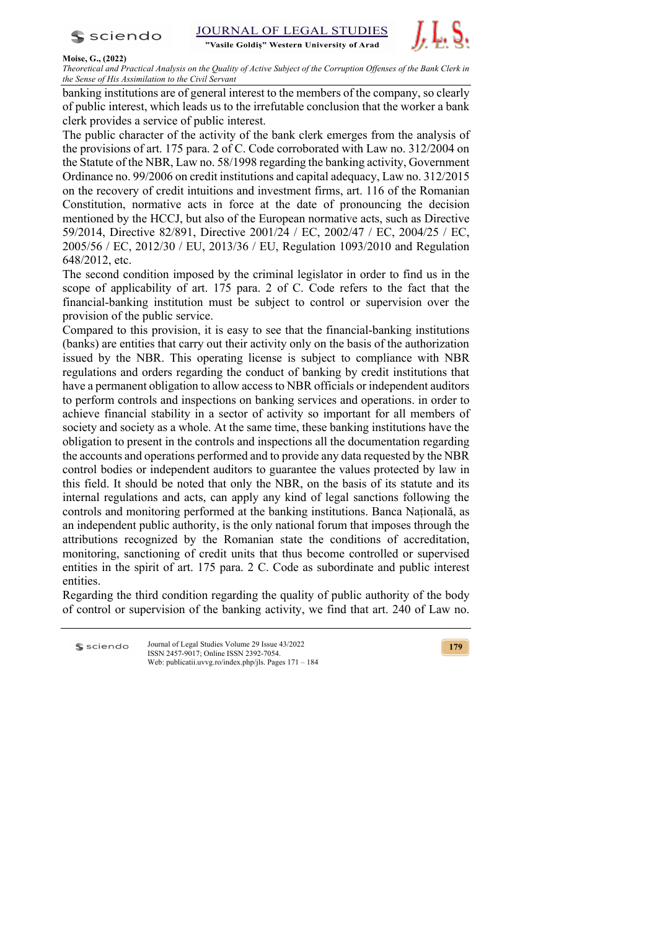

**STUDIES JOURNAL OF LEGAL** 

"Vasile Goldis" Western University of Arad



### **Moise, G., (2022)**

*Theoretical and Practical Analysis on the Quality of Active Subject of the Corruption Offenses of the Bank Clerk in the Sense of His Assimilation to the Civil Servant* 

banking institutions are of general interest to the members of the company, so clearly of public interest, which leads us to the irrefutable conclusion that the worker a bank clerk provides a service of public interest.

The public character of the activity of the bank clerk emerges from the analysis of the provisions of art. 175 para. 2 of C. Code corroborated with Law no. 312/2004 on the Statute of the NBR, Law no. 58/1998 regarding the banking activity, Government Ordinance no. 99/2006 on credit institutions and capital adequacy, Law no. 312/2015 on the recovery of credit intuitions and investment firms, art. 116 of the Romanian Constitution, normative acts in force at the date of pronouncing the decision mentioned by the HCCJ, but also of the European normative acts, such as Directive 59/2014, Directive 82/891, Directive 2001/24 / EC, 2002/47 / EC, 2004/25 / EC, 2005/56 / EC, 2012/30 / EU, 2013/36 / EU, Regulation 1093/2010 and Regulation 648/2012, etc.

The second condition imposed by the criminal legislator in order to find us in the scope of applicability of art. 175 para. 2 of C. Code refers to the fact that the financial-banking institution must be subject to control or supervision over the provision of the public service.

Compared to this provision, it is easy to see that the financial-banking institutions (banks) are entities that carry out their activity only on the basis of the authorization issued by the NBR. This operating license is subject to compliance with NBR regulations and orders regarding the conduct of banking by credit institutions that have a permanent obligation to allow access to NBR officials or independent auditors to perform controls and inspections on banking services and operations. in order to achieve financial stability in a sector of activity so important for all members of society and society as a whole. At the same time, these banking institutions have the obligation to present in the controls and inspections all the documentation regarding the accounts and operations performed and to provide any data requested by the NBR control bodies or independent auditors to guarantee the values protected by law in this field. It should be noted that only the NBR, on the basis of its statute and its internal regulations and acts, can apply any kind of legal sanctions following the controls and monitoring performed at the banking institutions. Banca Națională, as an independent public authority, is the only national forum that imposes through the attributions recognized by the Romanian state the conditions of accreditation, monitoring, sanctioning of credit units that thus become controlled or supervised entities in the spirit of art. 175 para. 2 C. Code as subordinate and public interest entities.

Regarding the third condition regarding the quality of public authority of the body of control or supervision of the banking activity, we find that art. 240 of Law no.

Journal of Legal Studies Volume 29 Issue 43/2022 **S** sciendo ISSN 2457-9017; Online ISSN 2392-7054. Web: publicatii.uvvg.ro/index.php/jls. Pages 171 – 184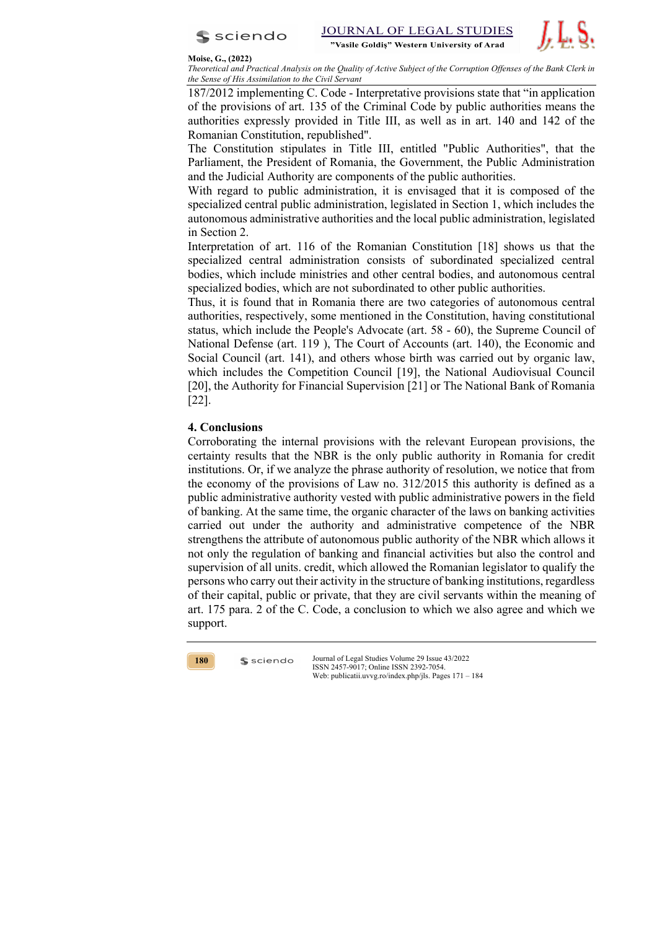



*Theoretical and Practical Analysis on the Quality of Active Subject of the Corruption Offenses of the Bank Clerk in the Sense of His Assimilation to the Civil Servant* 

187/2012 implementing C. Code - Interpretative provisions state that "in application of the provisions of art. 135 of the Criminal Code by public authorities means the authorities expressly provided in Title III, as well as in art. 140 and 142 of the Romanian Constitution, republished".

The Constitution stipulates in Title III, entitled "Public Authorities", that the Parliament, the President of Romania, the Government, the Public Administration and the Judicial Authority are components of the public authorities.

With regard to public administration, it is envisaged that it is composed of the specialized central public administration, legislated in Section 1, which includes the autonomous administrative authorities and the local public administration, legislated in Section 2.

Interpretation of art. 116 of the Romanian Constitution [18] shows us that the specialized central administration consists of subordinated specialized central bodies, which include ministries and other central bodies, and autonomous central specialized bodies, which are not subordinated to other public authorities.

Thus, it is found that in Romania there are two categories of autonomous central authorities, respectively, some mentioned in the Constitution, having constitutional status, which include the People's Advocate (art. 58 - 60), the Supreme Council of National Defense (art. 119 ), The Court of Accounts (art. 140), the Economic and Social Council (art. 141), and others whose birth was carried out by organic law, which includes the Competition Council [19], the National Audiovisual Council [20], the Authority for Financial Supervision [21] or The National Bank of Romania [22].

# **4. Conclusions**

Corroborating the internal provisions with the relevant European provisions, the certainty results that the NBR is the only public authority in Romania for credit institutions. Or, if we analyze the phrase authority of resolution, we notice that from the economy of the provisions of Law no. 312/2015 this authority is defined as a public administrative authority vested with public administrative powers in the field of banking. At the same time, the organic character of the laws on banking activities carried out under the authority and administrative competence of the NBR strengthens the attribute of autonomous public authority of the NBR which allows it not only the regulation of banking and financial activities but also the control and supervision of all units. credit, which allowed the Romanian legislator to qualify the persons who carry out their activity in the structure of banking institutions, regardless of their capital, public or private, that they are civil servants within the meaning of art. 175 para. 2 of the C. Code, a conclusion to which we also agree and which we support.



 $s$  sciendo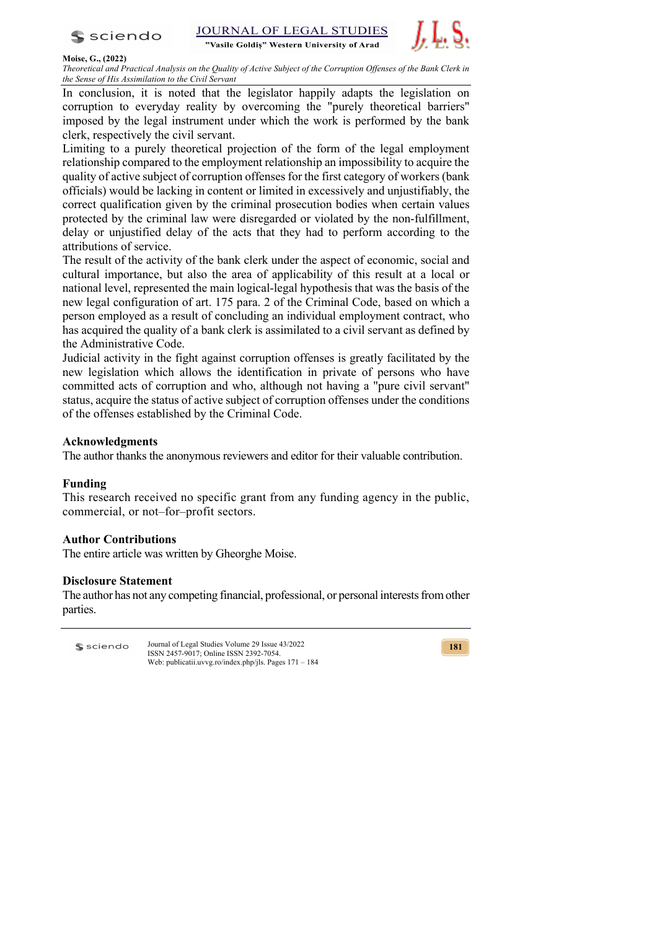

"Vasile Goldis" Western University of Arad



### **Moise, G., (2022)**

*Theoretical and Practical Analysis on the Quality of Active Subject of the Corruption Offenses of the Bank Clerk in the Sense of His Assimilation to the Civil Servant* 

In conclusion, it is noted that the legislator happily adapts the legislation on corruption to everyday reality by overcoming the "purely theoretical barriers" imposed by the legal instrument under which the work is performed by the bank clerk, respectively the civil servant.

Limiting to a purely theoretical projection of the form of the legal employment relationship compared to the employment relationship an impossibility to acquire the quality of active subject of corruption offenses for the first category of workers (bank officials) would be lacking in content or limited in excessively and unjustifiably, the correct qualification given by the criminal prosecution bodies when certain values protected by the criminal law were disregarded or violated by the non-fulfillment, delay or unjustified delay of the acts that they had to perform according to the attributions of service.

The result of the activity of the bank clerk under the aspect of economic, social and cultural importance, but also the area of applicability of this result at a local or national level, represented the main logical-legal hypothesis that was the basis of the new legal configuration of art. 175 para. 2 of the Criminal Code, based on which a person employed as a result of concluding an individual employment contract, who has acquired the quality of a bank clerk is assimilated to a civil servant as defined by the Administrative Code.

Judicial activity in the fight against corruption offenses is greatly facilitated by the new legislation which allows the identification in private of persons who have committed acts of corruption and who, although not having a "pure civil servant" status, acquire the status of active subject of corruption offenses under the conditions of the offenses established by the Criminal Code.

# **Acknowledgments**

The author thanks the anonymous reviewers and editor for their valuable contribution.

# **Funding**

This research received no specific grant from any funding agency in the public, commercial, or not–for–profit sectors.

# **Author Contributions**

The entire article was written by Gheorghe Moise.

# **Disclosure Statement**

The author has not any competing financial, professional, or personal interests fromother parties.

Journal of Legal Studies Volume 29 Issue 43/2022 **S** sciendo ISSN 2457-9017; Online ISSN 2392-7054. Web: publicatii.uvvg.ro/index.php/jls. Pages 171 – 184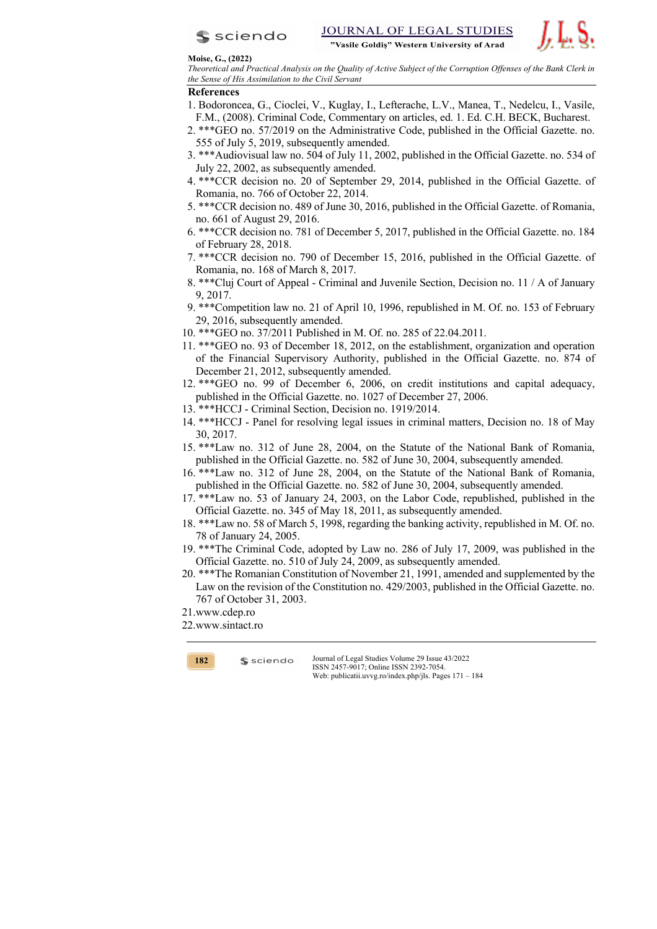



*Theoretical and Practical Analysis on the Quality of Active Subject of the Corruption Offenses of the Bank Clerk in the Sense of His Assimilation to the Civil Servant* 

## **References**

- 1. Bodoroncea, G., Cioclei, V., Kuglay, I., Lefterache, L.V., Manea, T., Nedelcu, I., Vasile, F.M., (2008). Criminal Code, Commentary on articles, ed. 1. Ed. C.H. BECK, Bucharest.
- 2. \*\*\*GEO no. 57/2019 on the Administrative Code, published in the Official Gazette. no. 555 of July 5, 2019, subsequently amended.
- 3. \*\*\*Audiovisual law no. 504 of July 11, 2002, published in the Official Gazette. no. 534 of July 22, 2002, as subsequently amended.
- 4. \*\*\*CCR decision no. 20 of September 29, 2014, published in the Official Gazette. of Romania, no. 766 of October 22, 2014.
- 5. \*\*\*CCR decision no. 489 of June 30, 2016, published in the Official Gazette. of Romania, no. 661 of August 29, 2016.
- 6. \*\*\*CCR decision no. 781 of December 5, 2017, published in the Official Gazette. no. 184 of February 28, 2018.
- 7. \*\*\*CCR decision no. 790 of December 15, 2016, published in the Official Gazette. of Romania, no. 168 of March 8, 2017.
- 8. \*\*\*Cluj Court of Appeal Criminal and Juvenile Section, Decision no. 11 / A of January 9, 2017.
- 9. \*\*\*Competition law no. 21 of April 10, 1996, republished in M. Of. no. 153 of February 29, 2016, subsequently amended.
- 10. \*\*\*GEO no. 37/2011 Published in M. Of. no. 285 of 22.04.2011.
- 11. \*\*\*GEO no. 93 of December 18, 2012, on the establishment, organization and operation of the Financial Supervisory Authority, published in the Official Gazette. no. 874 of December 21, 2012, subsequently amended.
- 12. \*\*\*GEO no. 99 of December 6, 2006, on credit institutions and capital adequacy, published in the Official Gazette. no. 1027 of December 27, 2006.
- 13. \*\*\*HCCJ Criminal Section, Decision no. 1919/2014.
- 14. \*\*\*HCCJ Panel for resolving legal issues in criminal matters, Decision no. 18 of May 30, 2017.
- 15. \*\*\*Law no. 312 of June 28, 2004, on the Statute of the National Bank of Romania, published in the Official Gazette. no. 582 of June 30, 2004, subsequently amended.
- 16. \*\*\*Law no. 312 of June 28, 2004, on the Statute of the National Bank of Romania, published in the Official Gazette. no. 582 of June 30, 2004, subsequently amended.
- 17. \*\*\*Law no. 53 of January 24, 2003, on the Labor Code, republished, published in the Official Gazette. no. 345 of May 18, 2011, as subsequently amended.
- 18. \*\*\*Law no. 58 of March 5, 1998, regarding the banking activity, republished in M. Of. no. 78 of January 24, 2005.
- 19. \*\*\*The Criminal Code, adopted by Law no. 286 of July 17, 2009, was published in the Official Gazette. no. 510 of July 24, 2009, as subsequently amended.
- 20. \*\*\*The Romanian Constitution of November 21, 1991, amended and supplemented by the Law on the revision of the Constitution no. 429/2003, published in the Official Gazette. no. 767 of October 31, 2003.
- 21.www.cdep.ro
- 22.www.sintact.ro

 $s$  sciendo

**182**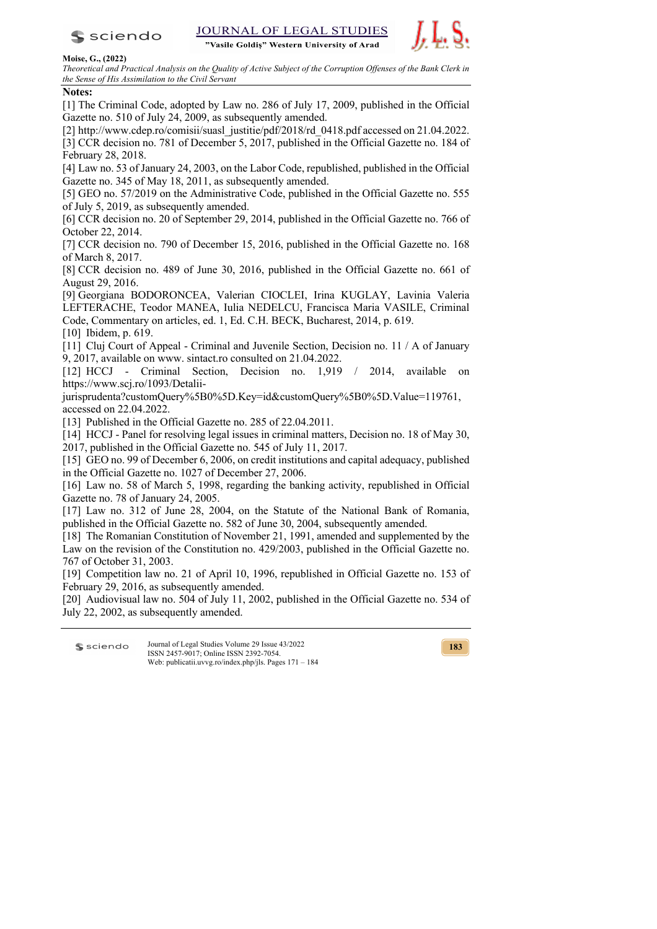

"Vasile Goldiș" Western University of Arad



## **Moise, G., (2022)**

*Theoretical and Practical Analysis on the Quality of Active Subject of the Corruption Offenses of the Bank Clerk in the Sense of His Assimilation to the Civil Servant* 

# **Notes:**

[1] The Criminal Code, adopted by Law no. 286 of July 17, 2009, published in the Official Gazette no. 510 of July 24, 2009, as subsequently amended.

[2] http://www.cdep.ro/comisii/suasl\_justitie/pdf/2018/rd\_0418.pdf accessed on 21.04.2022. [3] CCR decision no. 781 of December 5, 2017, published in the Official Gazette no. 184 of February 28, 2018.

[4] Law no. 53 of January 24, 2003, on the Labor Code, republished, published in the Official Gazette no. 345 of May 18, 2011, as subsequently amended.

[5] GEO no. 57/2019 on the Administrative Code, published in the Official Gazette no. 555 of July 5, 2019, as subsequently amended.

[6] CCR decision no. 20 of September 29, 2014, published in the Official Gazette no. 766 of October 22, 2014.

[7] CCR decision no. 790 of December 15, 2016, published in the Official Gazette no. 168 of March 8, 2017.

[8] CCR decision no. 489 of June 30, 2016, published in the Official Gazette no. 661 of August 29, 2016.

[9] Georgiana BODORONCEA, Valerian CIOCLEI, Irina KUGLAY, Lavinia Valeria LEFTERACHE, Teodor MANEA, Iulia NEDELCU, Francisca Maria VASILE, Criminal Code, Commentary on articles, ed. 1, Ed. C.H. BECK, Bucharest, 2014, p. 619.

[10] Ibidem, p. 619.

[11] Cluj Court of Appeal - Criminal and Juvenile Section, Decision no. 11 / A of January 9, 2017, available on www. sintact.ro consulted on 21.04.2022.

[12] HCCJ - Criminal Section, Decision no. 1,919 / 2014, available on https://www.scj.ro/1093/Detalii-

jurisprudenta?customQuery%5B0%5D.Key=id&customQuery%5B0%5D.Value=119761, accessed on 22.04.2022.

[13] Published in the Official Gazette no. 285 of 22.04.2011.

[14] HCCJ - Panel for resolving legal issues in criminal matters, Decision no. 18 of May 30, 2017, published in the Official Gazette no. 545 of July 11, 2017.

[15] GEO no. 99 of December 6, 2006, on credit institutions and capital adequacy, published in the Official Gazette no. 1027 of December 27, 2006.

[16] Law no. 58 of March 5, 1998, regarding the banking activity, republished in Official Gazette no. 78 of January 24, 2005.

[17] Law no. 312 of June 28, 2004, on the Statute of the National Bank of Romania, published in the Official Gazette no. 582 of June 30, 2004, subsequently amended.

[18] The Romanian Constitution of November 21, 1991, amended and supplemented by the Law on the revision of the Constitution no. 429/2003, published in the Official Gazette no. 767 of October 31, 2003.

[19] Competition law no. 21 of April 10, 1996, republished in Official Gazette no. 153 of February 29, 2016, as subsequently amended.

[20] Audiovisual law no. 504 of July 11, 2002, published in the Official Gazette no. 534 of July 22, 2002, as subsequently amended.

Journal of Legal Studies Volume 29 Issue 43/2022 **S** sciendo ISSN 2457-9017; Online ISSN 2392-7054. Web: publicatii.uvvg.ro/index.php/jls. Pages 171 – 184